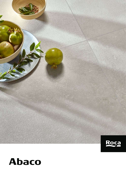

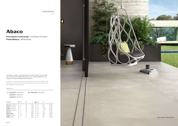

**Porcelánico Coloreado** / Full Body Porcelain **Pasta Blanca** / White Body

CONCRETES

#### Formatos / Sizes

#### Innovadora, versátil y extremadamente funcional, Abaco es una colección que eleva los matices del cemento a su máxima expresión y los mejora con la perdurabilidad del porcelánico.

Innovative, versatile and extremely functional, Abaco is a collection that takes the nuances of cement to their highest level, improving them with the durability of porcelain tiles.

| $\equiv 40x120 R/16x48r R$ |
|----------------------------|
|                            |
|                            |
|                            |

| Packing list              | Pzs.           | Kg | m <sup>2</sup> | Box | Kg    | m <sup>2</sup> |
|---------------------------|----------------|----|----------------|-----|-------|----------------|
| 60x120 R / 24"x48" R      | $\mathfrak{p}$ | 30 | 1,440          | 32  | 973   | 46,080         |
| 60x60 R / 24"x24" R       | 3              | 23 | 1,080          | 40  | 916   | 43,200         |
| 30x60 R / $12"x24"$ R     | 7              | 26 | 1,260          | 48  | 1.246 | 60,480         |
| 40x120 R / 16"x48" R      | 3              | 28 | 1,440          | 40  | 1.114 | 57,600         |
| Malla Link                | 5              | 19 | 0,890          | 20  | 380   | 17,800         |
| Moldura Metal             | 10             | 12 | 0,060          | 280 | 3.282 | 16,800         |
| <b>Rodapie</b> / Skirting | 10             | 13 | 0,600          | 60  | 799   | 36,000         |
| Peldaño / Step            | 2              | 10 | 0.360          | 22  | 210   | 7.9200         |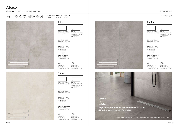Porcelánico Coloreado / Full Body Porcelain





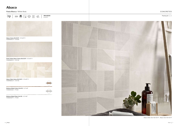

Abaco Arena 40x120 R / 16"x48" R FWMR5MC371 / M1590



Suite Ondas Abaco Arena 40x120 R / 16"x48" R FWMR6MC371 / M1760

### Pasta Blanca / White Body

Abaco Deko Gris 40x120 R - Abaco Gris 40x120 R



#### CONCRETES

Packing list  $\bigcirc$  2



Abaco Deko Arena 40x120 R / 16"x48" R FWMR8MC371 / M1760

Moldura Metal Plata 0,5x120 / 0,2"x48" FWME0KEPT1 / P1500



Moldura Metal Cobre 0,5x120 / 0,2"x48" FWME0KE381 / P1500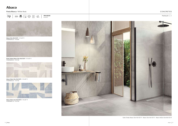### Pasta Blanca / White Body



#### CONCRETES

Packing list  $\bigcirc$  2



Suite Ondas Abaco Gris 40x120 R / 16"x48" R FWMR6MC021 / M1760



Abaco Gris 40x120 R / 16"x48" R FWMR5MC021 / M1590

Suite Ondas Abaco Gris 40x120 R - Abaco Gris 40x120 R - Abaco In&Out Gris 60x120 R



Abaco Deko Azul 40x120 R / 16"x48" R FWMR8MC151 / M1760





Abaco Deko Gris 40x120 R / 16"x48" R FWMR8MC021 / M1760